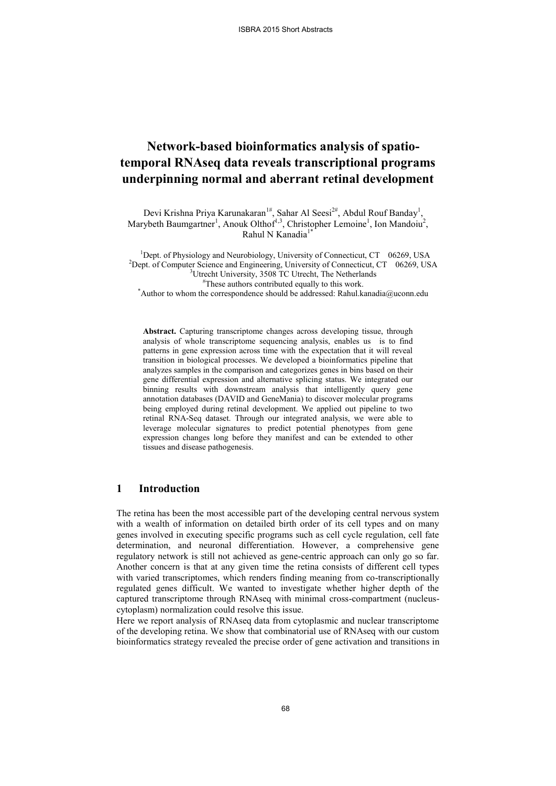# **Network-based bioinformatics analysis of spatiotemporal RNAseq data reveals transcriptional programs underpinning normal and aberrant retinal development**

Devi Krishna Priya Karunakaran<sup>1#</sup>, Sahar Al Seesi<sup>2#</sup>, Abdul Rouf Banday<sup>1</sup>, Marybeth Baumgartner<sup>1</sup>, Anouk Olthof<sup>1,3</sup>, Christopher Lemoine<sup>1</sup>, Ion Mandoiu<sup>2</sup>, Rahul N Kanadia<sup>1</sup>

<sup>1</sup>Dept. of Physiology and Neurobiology, University of Connecticut, CT  $\,$  06269, USA <sup>2</sup>Dept. of Computer Science and Engineering, University of Connecticut, CT 06269, USA <sup>3</sup>Utrecht University, 3508 TC Utrecht, The Netherlands #These authors contributed equally to this work.

\*Author to whom the correspondence should be addressed: Rahul.kanadia@uconn.edu

**Abstract.** Capturing transcriptome changes across developing tissue, through analysis of whole transcriptome sequencing analysis, enables us is to find patterns in gene expression across time with the expectation that it will reveal transition in biological processes. We developed a bioinformatics pipeline that analyzes samples in the comparison and categorizes genes in bins based on their gene differential expression and alternative splicing status. We integrated our binning results with downstream analysis that intelligently query gene annotation databases (DAVID and GeneMania) to discover molecular programs being employed during retinal development. We applied out pipeline to two retinal RNA-Seq dataset. Through our integrated analysis, we were able to leverage molecular signatures to predict potential phenotypes from gene expression changes long before they manifest and can be extended to other tissues and disease pathogenesis.

## **1 Introduction**

The retina has been the most accessible part of the developing central nervous system with a wealth of information on detailed birth order of its cell types and on many genes involved in executing specific programs such as cell cycle regulation, cell fate determination, and neuronal differentiation. However, a comprehensive gene regulatory network is still not achieved as gene-centric approach can only go so far. Another concern is that at any given time the retina consists of different cell types with varied transcriptomes, which renders finding meaning from co-transcriptionally regulated genes difficult. We wanted to investigate whether higher depth of the captured transcriptome through RNAseq with minimal cross-compartment (nucleuscytoplasm) normalization could resolve this issue.

Here we report analysis of RNAseq data from cytoplasmic and nuclear transcriptome of the developing retina. We show that combinatorial use of RNAseq with our custom bioinformatics strategy revealed the precise order of gene activation and transitions in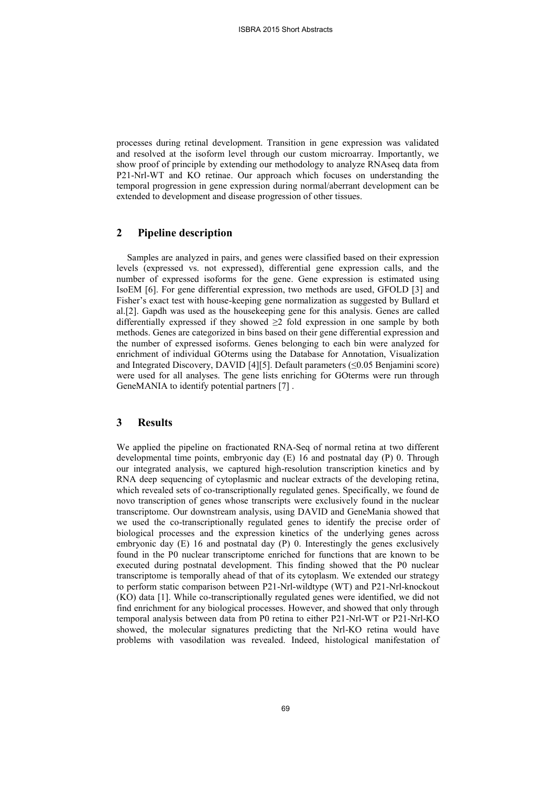processes during retinal development. Transition in gene expression was validated and resolved at the isoform level through our custom microarray. Importantly, we show proof of principle by extending our methodology to analyze RNAseq data from P21-Nrl-WT and KO retinae. Our approach which focuses on understanding the temporal progression in gene expression during normal/aberrant development can be extended to development and disease progression of other tissues.

### **2 Pipeline description**

Samples are analyzed in pairs, and genes were classified based on their expression levels (expressed vs. not expressed), differential gene expression calls, and the number of expressed isoforms for the gene. Gene expression is estimated using IsoEM [\[6\].](#page-2-0) For gene differential expression, two methods are used, GFOLD [\[3\]](#page-2-1) and Fisher's exact test with house-keeping gene normalization as suggested by Bullard et a[l.\[2\].](#page-2-2) Gapdh was used as the housekeeping gene for this analysis. Genes are called differentially expressed if they showed  $\geq 2$  fold expression in one sample by both methods. Genes are categorized in bins based on their gene differential expression and the number of expressed isoforms. Genes belonging to each bin were analyzed for enrichment of individual GOterms using the Database for Annotation, Visualization and Integrated Discovery, DAVID [\[4\]\[5\].](#page-2-3) Default parameters (≤0.05 Benjamini score) were used for all analyses. The gene lists enriching for GOterms were run through GeneMANIA to identify potential partners [\[7\]](#page-2-4) .

## **3 Results**

We applied the pipeline on fractionated RNA-Seq of normal retina at two different developmental time points, embryonic day (E) 16 and postnatal day (P) 0. Through our integrated analysis, we captured high-resolution transcription kinetics and by RNA deep sequencing of cytoplasmic and nuclear extracts of the developing retina, which revealed sets of co-transcriptionally regulated genes. Specifically, we found de novo transcription of genes whose transcripts were exclusively found in the nuclear transcriptome. Our downstream analysis, using DAVID and GeneMania showed that we used the co-transcriptionally regulated genes to identify the precise order of biological processes and the expression kinetics of the underlying genes across embryonic day (E) 16 and postnatal day (P) 0. Interestingly the genes exclusively found in the P0 nuclear transcriptome enriched for functions that are known to be executed during postnatal development. This finding showed that the P0 nuclear transcriptome is temporally ahead of that of its cytoplasm. We extended our strategy to perform static comparison between P21-Nrl-wildtype (WT) and P21-Nrl-knockout (KO) data [\[1\].](#page-2-5) While co-transcriptionally regulated genes were identified, we did not find enrichment for any biological processes. However, and showed that only through temporal analysis between data from P0 retina to either P21-Nrl-WT or P21-Nrl-KO showed, the molecular signatures predicting that the Nrl-KO retina would have problems with vasodilation was revealed. Indeed, histological manifestation of